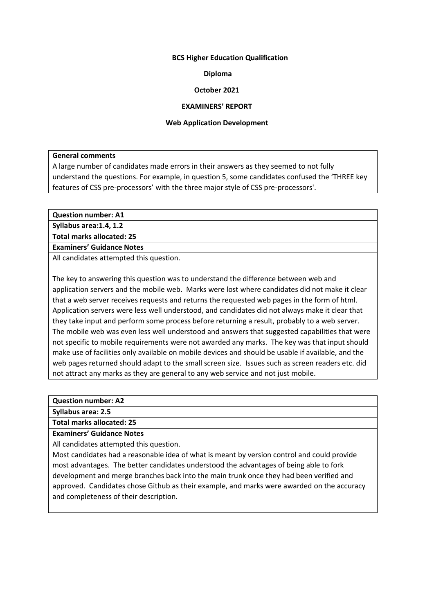# **BCS Higher Education Qualification**

# **Diploma**

# **October 2021**

### **EXAMINERS' REPORT**

#### **Web Application Development**

**General comments**

A large number of candidates made errors in their answers as they seemed to not fully understand the questions. For example, in question 5, some candidates confused the 'THREE key features of CSS pre-processors' with the three major style of CSS pre-processors'.

**Question number: A1**

**Syllabus area:1.4, 1.2**

**Total marks allocated: 25**

**Examiners' Guidance Notes**

All candidates attempted this question.

The key to answering this question was to understand the difference between web and application servers and the mobile web. Marks were lost where candidates did not make it clear that a web server receives requests and returns the requested web pages in the form of html. Application servers were less well understood, and candidates did not always make it clear that they take input and perform some process before returning a result, probably to a web server. The mobile web was even less well understood and answers that suggested capabilities that were not specific to mobile requirements were not awarded any marks. The key was that input should make use of facilities only available on mobile devices and should be usable if available, and the web pages returned should adapt to the small screen size. Issues such as screen readers etc. did not attract any marks as they are general to any web service and not just mobile.

**Question number: A2**

**Syllabus area: 2.5**

**Total marks allocated: 25**

**Examiners' Guidance Notes**

All candidates attempted this question.

Most candidates had a reasonable idea of what is meant by version control and could provide most advantages. The better candidates understood the advantages of being able to fork development and merge branches back into the main trunk once they had been verified and approved. Candidates chose Github as their example, and marks were awarded on the accuracy and completeness of their description.